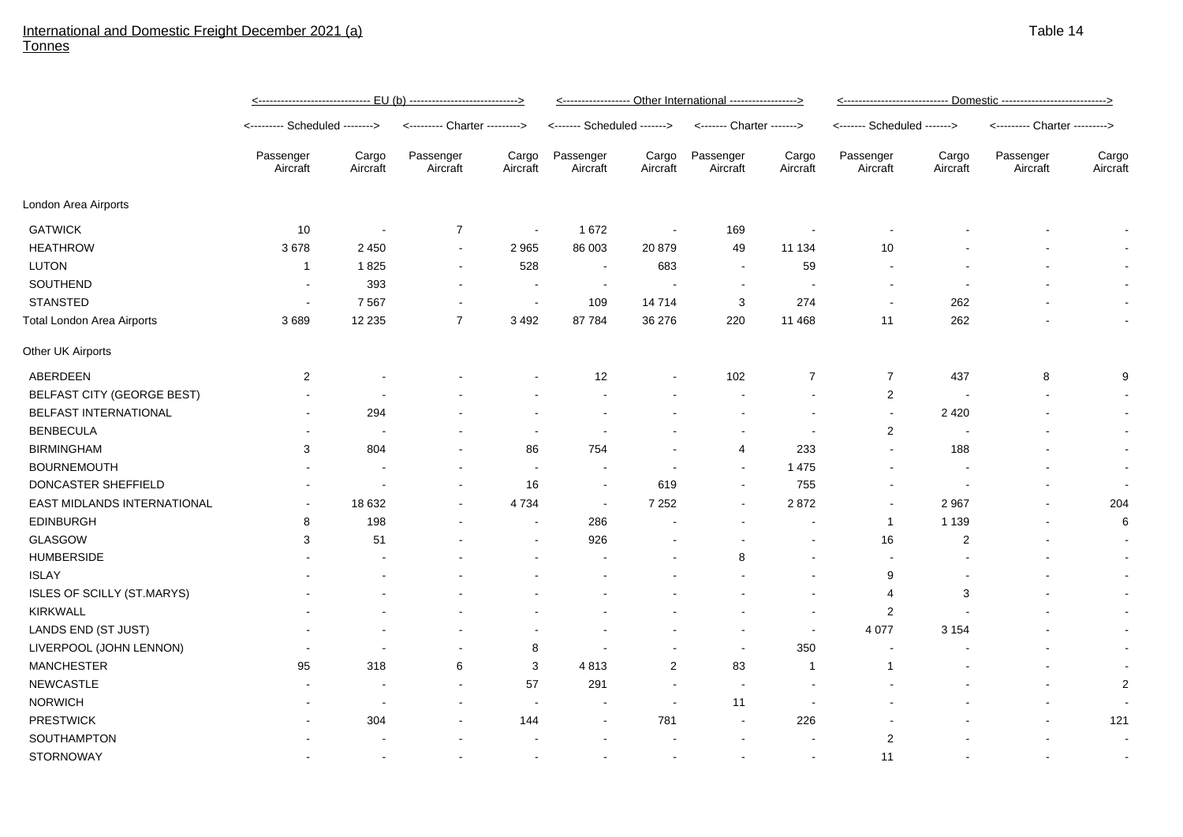## International and Domestic Freight December 2021 (a) Tonnes

|                                   | <u>&lt;------------------------------ EU (b) ----------------------------&gt;</u> |                          |                               |                          | <----------------- Other International -----------------> |                   |                           |                   |                             |                   |                               |                   |
|-----------------------------------|-----------------------------------------------------------------------------------|--------------------------|-------------------------------|--------------------------|-----------------------------------------------------------|-------------------|---------------------------|-------------------|-----------------------------|-------------------|-------------------------------|-------------------|
|                                   | <-------- Scheduled -------->                                                     |                          | <--------- Charter ---------> |                          | <------- Scheduled ------->                               |                   | <------- Charter -------> |                   | <------- Scheduled -------> |                   | <--------- Charter ---------> |                   |
|                                   | Passenger<br>Aircraft                                                             | Cargo<br>Aircraft        | Passenger<br>Aircraft         | Cargo<br>Aircraft        | Passenger<br>Aircraft                                     | Cargo<br>Aircraft | Passenger<br>Aircraft     | Cargo<br>Aircraft | Passenger<br>Aircraft       | Cargo<br>Aircraft | Passenger<br>Aircraft         | Cargo<br>Aircraft |
| London Area Airports              |                                                                                   |                          |                               |                          |                                                           |                   |                           |                   |                             |                   |                               |                   |
| <b>GATWICK</b>                    | 10                                                                                |                          | $\overline{7}$                | $\blacksquare$           | 1672                                                      |                   | 169                       |                   |                             |                   |                               |                   |
| <b>HEATHROW</b>                   | 3678                                                                              | 2 4 5 0                  | $\blacksquare$                | 2965                     | 86 003                                                    | 20879             | 49                        | 11 134            | 10                          |                   |                               |                   |
| <b>LUTON</b>                      | 1                                                                                 | 1825                     | $\blacksquare$                | 528                      | $\blacksquare$                                            | 683               | $\blacksquare$            | 59                |                             |                   |                               |                   |
| SOUTHEND                          | $\blacksquare$                                                                    | 393                      |                               |                          | $\overline{\phantom{a}}$                                  |                   |                           |                   |                             |                   |                               |                   |
| <b>STANSTED</b>                   | $\blacksquare$                                                                    | 7 5 6 7                  |                               | $\sim$                   | 109                                                       | 14714             | 3                         | 274               |                             | 262               |                               |                   |
| <b>Total London Area Airports</b> | 3689                                                                              | 12 2 35                  | $\overline{7}$                | 3 4 9 2                  | 87 784                                                    | 36 276            | 220                       | 11 4 68           | 11                          | 262               |                               | $\blacksquare$    |
| Other UK Airports                 |                                                                                   |                          |                               |                          |                                                           |                   |                           |                   |                             |                   |                               |                   |
| ABERDEEN                          | 2                                                                                 |                          |                               |                          | 12                                                        |                   | 102                       | $\overline{7}$    | $\overline{7}$              | 437               | 8                             | 9                 |
| <b>BELFAST CITY (GEORGE BEST)</b> |                                                                                   |                          |                               |                          |                                                           |                   |                           |                   | $\overline{c}$              |                   |                               |                   |
| BELFAST INTERNATIONAL             |                                                                                   | 294                      |                               |                          |                                                           |                   |                           |                   |                             | 2 4 2 0           |                               |                   |
| <b>BENBECULA</b>                  |                                                                                   |                          |                               |                          |                                                           |                   |                           | $\sim$            | $\overline{c}$              |                   |                               | $\blacksquare$    |
| <b>BIRMINGHAM</b>                 | 3                                                                                 | 804                      |                               | 86                       | 754                                                       |                   | 4                         | 233               |                             | 188               |                               | $\blacksquare$    |
| <b>BOURNEMOUTH</b>                |                                                                                   |                          | $\overline{a}$                | $\overline{\phantom{a}}$ | $\sim$                                                    | ۰.                | $\sim$                    | 1 4 7 5           |                             |                   |                               | $\blacksquare$    |
| DONCASTER SHEFFIELD               |                                                                                   |                          |                               | 16                       | $\blacksquare$                                            | 619               | $\sim$                    | 755               |                             |                   |                               | $\blacksquare$    |
| EAST MIDLANDS INTERNATIONAL       |                                                                                   | 18 632                   |                               | 4734                     | $\blacksquare$                                            | 7 2 5 2           | $\sim$                    | 2872              |                             | 2 9 6 7           |                               | 204               |
| <b>EDINBURGH</b>                  | 8                                                                                 | 198                      |                               | $\sim$                   | 286                                                       |                   |                           |                   | $\mathbf{1}$                | 1 1 3 9           | $\overline{a}$                | 6                 |
| GLASGOW                           | 3                                                                                 | 51                       |                               | $\sim$                   | 926                                                       |                   |                           |                   | 16                          | $\overline{c}$    |                               | $\blacksquare$    |
| <b>HUMBERSIDE</b>                 |                                                                                   |                          |                               |                          |                                                           |                   | 8                         |                   |                             |                   |                               |                   |
| <b>ISLAY</b>                      |                                                                                   |                          |                               |                          |                                                           |                   |                           |                   | 9                           |                   |                               | $\blacksquare$    |
| ISLES OF SCILLY (ST.MARYS)        |                                                                                   |                          |                               |                          |                                                           |                   |                           |                   | 4                           | 3                 |                               | $\blacksquare$    |
| <b>KIRKWALL</b>                   |                                                                                   |                          |                               |                          |                                                           |                   |                           |                   | $\boldsymbol{2}$            |                   |                               | $\blacksquare$    |
| LANDS END (ST JUST)               |                                                                                   |                          |                               |                          |                                                           |                   |                           |                   | 4 0 7 7                     | 3 1 5 4           |                               | $\blacksquare$    |
| LIVERPOOL (JOHN LENNON)           |                                                                                   | $\overline{\phantom{a}}$ |                               | 8                        | $\overline{a}$                                            |                   | $\overline{\phantom{a}}$  | 350               |                             |                   |                               | $\blacksquare$    |
| <b>MANCHESTER</b>                 | 95                                                                                | 318                      | 6                             | 3                        | 4813                                                      | 2                 | 83                        | $\overline{1}$    | 1                           |                   |                               |                   |
| <b>NEWCASTLE</b>                  |                                                                                   |                          |                               | 57                       | 291                                                       |                   |                           |                   |                             |                   |                               | $\overline{2}$    |
| <b>NORWICH</b>                    |                                                                                   |                          |                               |                          |                                                           |                   | 11                        |                   |                             |                   |                               |                   |
| <b>PRESTWICK</b>                  |                                                                                   | 304                      |                               | 144                      |                                                           | 781               |                           | 226               |                             |                   |                               | 121               |
| SOUTHAMPTON                       |                                                                                   |                          |                               |                          |                                                           |                   |                           |                   | $\overline{2}$              |                   |                               |                   |
| <b>STORNOWAY</b>                  |                                                                                   |                          |                               |                          |                                                           |                   |                           |                   | 11                          |                   |                               |                   |